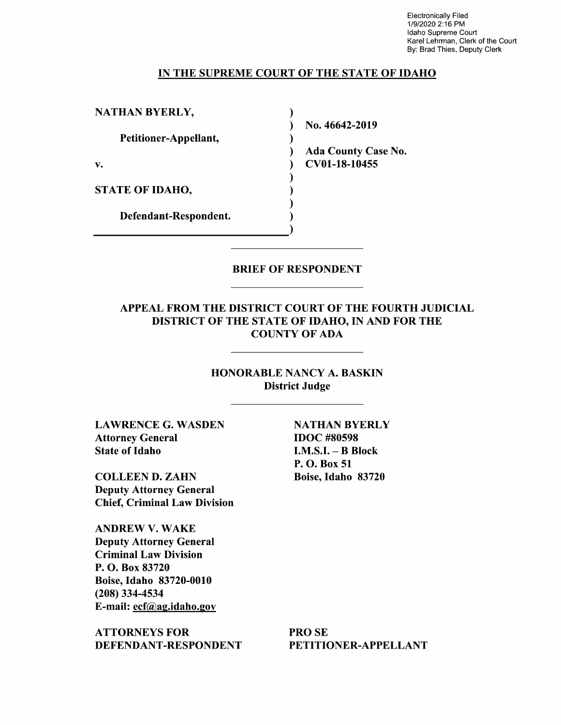Electronically Filed 1/9/2020 2:16 PM Idaho Supreme Court Karel Lehrman, Clerk of the Court By: Brad Thies, Deputy Clerk

#### IN THE SUPREME COURT OF THE STATE OF IDAHO

 $\lambda$ ℩  $\lambda$  $\mathbf{L}$ 

NATHAN BYERLY, Petitioner-Appellant, v. CV01-18-10455 STATE OF IDAHO, Defendant—Respondent.

N0. 46642-2019 Ada County Case N0.

### BRIEF OF RESPONDENT

## APPEAL FROM THE DISTRICT COURT OF THE FOURTH JUDICIAL DISTRICT OF THE STATE OF IDAHO, IN AND FOR THE COUNTY OF ADA

## HONORABLE NANCY A. BASKIN District Judge

LAWRENCE G. WASDEN NATHAN BYERLY Attorney General **IDOC** #80598 State of Idaho I.M.S.I. – B Block

COLLEEN D. ZAHN Boise, Idaho 83720 Deputy Attorney General Chief, Criminal Law Division

ANDREW V. WAKE Deputy Attorney General Criminal Law Division P. O. Box 83720 Boise, Idaho 83720-0010 (208) 334-4534 E-mail: ecf@ag.idaho.gov

ATTORNEYS FOR PRO SE DEFENDANT-RESPONDENT PETITIONER—APPELLANT

P. O. Box 51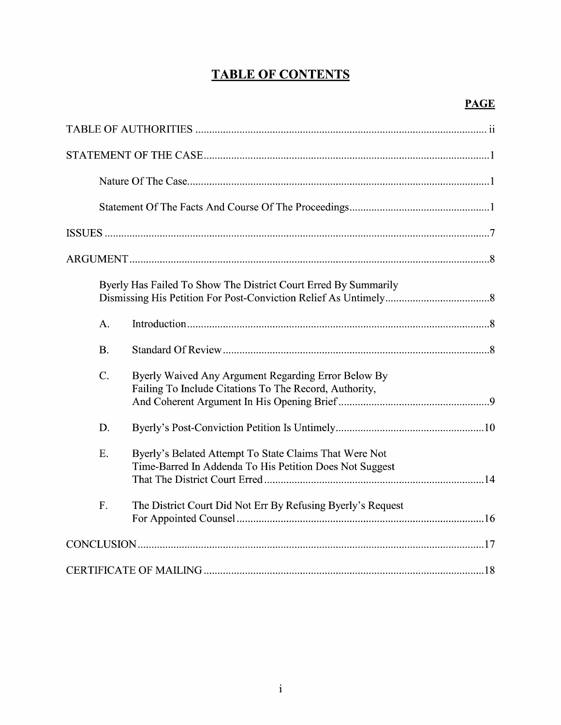## TABLE OF CONTENTS

|           | Byerly Has Failed To Show The District Court Erred By Summarily                                                   |  |
|-----------|-------------------------------------------------------------------------------------------------------------------|--|
| A.        |                                                                                                                   |  |
| <b>B.</b> |                                                                                                                   |  |
| $C$ .     | Byerly Waived Any Argument Regarding Error Below By<br>Failing To Include Citations To The Record, Authority,     |  |
| D.        |                                                                                                                   |  |
| E.        | Byerly's Belated Attempt To State Claims That Were Not<br>Time-Barred In Addenda To His Petition Does Not Suggest |  |
| F.        | The District Court Did Not Err By Refusing Byerly's Request                                                       |  |
|           |                                                                                                                   |  |
|           |                                                                                                                   |  |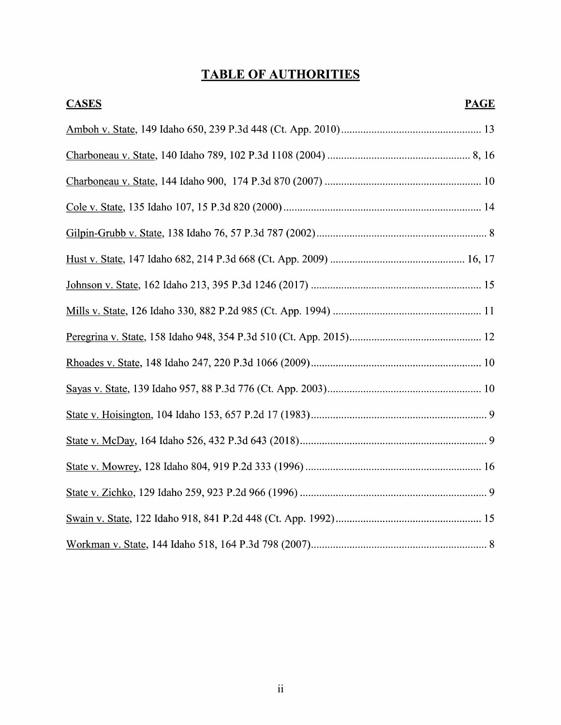## TABLE OF AUTHORITIES

| <b>CASES</b><br><b>PAGE</b> |  |
|-----------------------------|--|
|                             |  |
|                             |  |
|                             |  |
|                             |  |
|                             |  |
|                             |  |
|                             |  |
|                             |  |
|                             |  |
|                             |  |
|                             |  |
|                             |  |
|                             |  |
|                             |  |
|                             |  |
|                             |  |
|                             |  |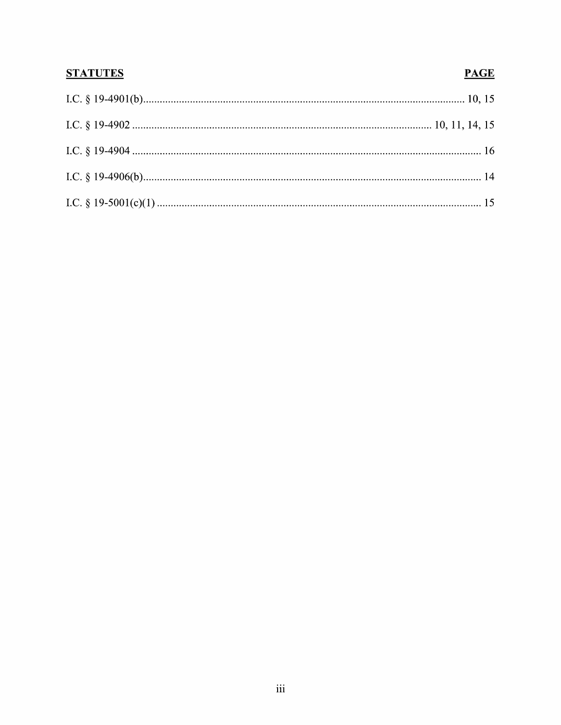# **STATUTES PAGE**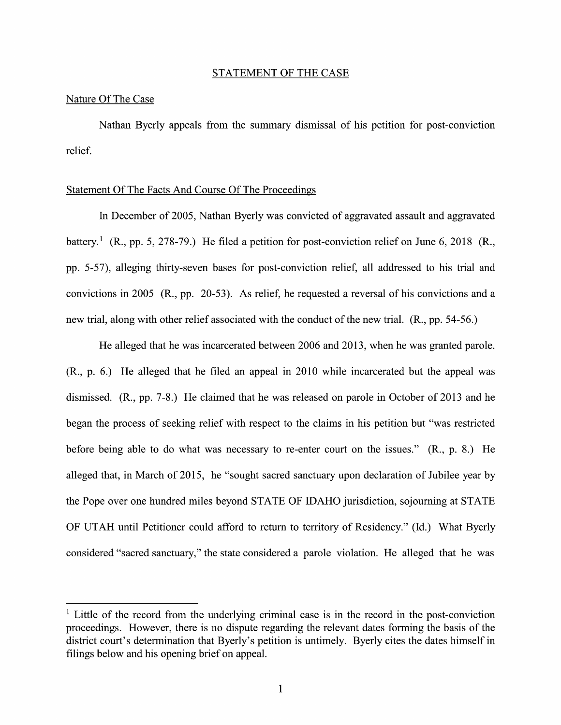#### STATEMENT OF THE CASE

#### Nature Of The Case

Nathan Byerly appeals from the summary dismissal 0f his petition for post-conviction relief.

#### Statement Of The Facts And Course Of The Proceedings

In December of 2005, Nathan Byerly was convicted of aggravated assault and aggravated battery.<sup>1</sup> (R., pp. 5, 278-79.) He filed a petition for post-conviction relief on June 6, 2018 (R., pp. 5-57), alleging thirty—seven bases for post-conviction relief, all addressed to his trial and convictions in 2005 (R., pp. 20-53). As relief, he requested a reversal of his convictions and a new trial, along with other relief associated with the conduct of the new trial. (R., pp. 54-56.)

He alleged that he was incarcerated between 2006 and 2013, When he was granted parole. (R., p. 6.) He alleged that he filed an appeal in <sup>2010</sup> while incarcerated but the appeal was dismissed. (R., pp. 7-8.) He claimed that he was released 0n parole in October of 2013 and he began the process 0f seeking relief With respect to the claims in his petition but "was restricted before being able to do what was necessary to re-enter court on the issues." (R., p. 8.) He alleged that, in March of 2015, he "sought sacred sanctuary upon declaration of Jubilee year by the Pope over one hundred miles beyond STATE OF IDAHO jurisdiction, sojourning at STATE OF UTAH until Petitioner could afford to return to territory of Residency." (Id.) What Byerly considered "sacred sanctuary," the state considered a parole violation. He alleged that he was

 $\frac{1}{1}$  Little of the record from the underlying criminal case is in the record in the post-conviction proceedings. However, there is n0 dispute regarding the relevant dates forming the basis of the district court's determination that Byerly's petition is untimely. Byerly cites the dates himself in filings below and his opening brief 0n appeal.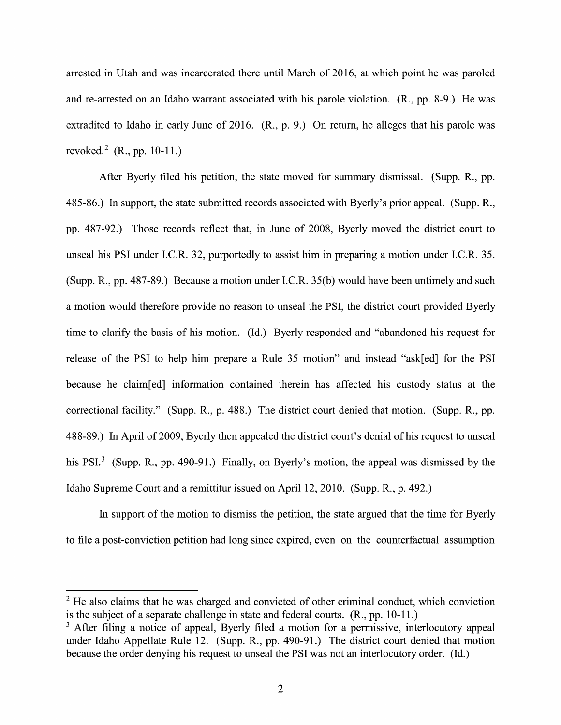arrested in Utah and was incarcerated there until March 0f 2016, at Which point he was paroled and re-arrested 0n an Idaho warrant associated with his parole Violation. (R., pp. 8-9.) He was extradited to Idaho in early June of 2016. (R., p. 9.) On return, he alleges that his parole was revoked.<sup>2</sup> (R., pp. 10-11.)

After Byerly filed his petition, the state moved for summary dismissal. (Supp. R., pp. 485-86.) In support, the state submitted records associated with Byerly's prior appeal. (Supp. R., pp. 487-92.) Those records reflect that, in June 0f 2008, Byerly moved the district court to unseal his PSI under I.C.R. 32, purportedly to assist him in preparing a motion under I.C.R. 35. (Supp. R., pp. 487-89.) Because a motion under I.C.R.  $35(b)$  would have been untimely and such a motion would therefore provide no reason to unseal the PSI, the district court provided Byerly time to clarify the basis of his motion. (Id.) Byerly responded and "abandoned his request for release of the PSI to help him prepare a Rule 35 motion" and instead "ask[ed] for the PSI because he claim[ed] information contained therein has affected his custody status at the correctional facility." (Supp. R., p. 488.) The district court denied that motion. (Supp. R., pp. 488-89.) In April of 2009, Byerly then appealed the district court's denial of his request to unseal his PSI.<sup>3</sup> (Supp. R., pp. 490-91.) Finally, on Byerly's motion, the appeal was dismissed by the Idaho Supreme Court and a remittitur issued on April 12, 2010. (Supp. R., p. 492.)

In support of the motion to dismiss the petition, the state argued that the time for Byerly to file a post-conviction petition had long since expired, even on the counterfactual assumption

 $2$  He also claims that he was charged and convicted of other criminal conduct, which conviction is the subject of a separate challenge in state and federal courts.  $(R., pp. 10-11.)$ 

 $3$  After filing a notice of appeal, Byerly filed a motion for a permissive, interlocutory appeal under Idaho Appellate Rule 12. (Supp. R., pp. 490-91.) The district court denied that motion because the order denying his request to unseal the PSI was not an interlocutory order. (Id.)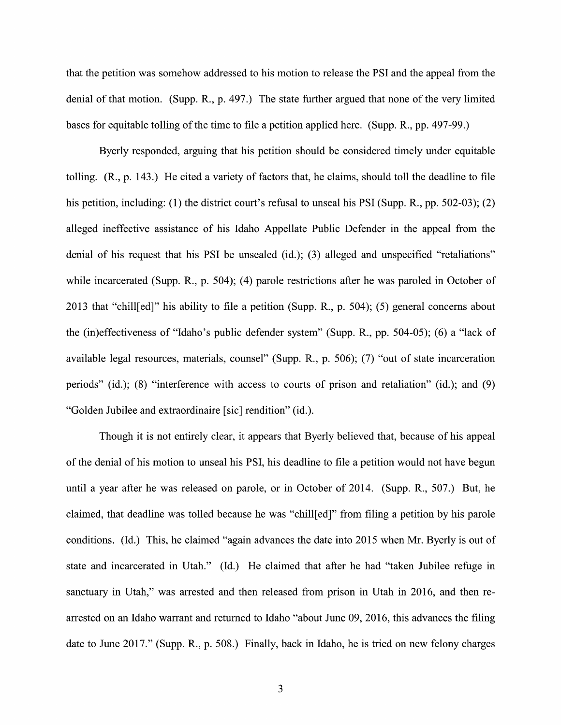that the petition was somehow addressed to his motion to release the PSI and the appeal from the denial of that motion. (Supp. R., p. 497.) The state further argued that none of the very limited bases for equitable tolling of the time to file a petition applied here. (Supp. R., pp. 497-99.)

Byerly responded, arguing that his petition should be considered timely under equitable tolling. (R., p. 143.) He cited a variety of factors that, he claims, should toll the deadline to file his petition, including: (1) the district court's refusal to unseal his PSI (Supp. R., pp. 502-03); (2) alleged ineffective assistance of his Idaho Appellate Public Defender in the appeal from the denial of his request that his PSI be unsealed (id.); (3) alleged and unspecified "retaliations" while incarcerated (Supp. R., p. 504); (4) parole restrictions after he was paroled in October of 2013 that "chill[ed]" his ability to file a petition (Supp. R., p. 504); (5) general concerns about the (in)effectiveness of "Idaho's public defender system" (Supp. R., pp. 504-05); (6) a "lack of available legal resources, materials, counsel" (Supp. R., p. 506); (7) "out of state incarceration periods" (id.); (8) "interference With access to courts of prison and retaliation" (id.); and (9) "Golden Jubilee and extraordinaire [sic] rendition" (id.).

Though it is not entirely clear, it appears that Byerly believed that, because of his appeal of the denial of his motion to unseal his PSI, his deadline to file a petition would not have begun until a year after he was released on parole, or in October of 2014. (Supp. R., 507.) But, he claimed, that deadline was tolled because he was "chill[ed]" from filing a petition by his parole conditions. (Id.) This, he claimed "again advances the date into 2015 When Mr. Byerly is out of state and incarcerated in Utah." (Id.) He claimed that after he had "taken Jubilee refuge in sanctuary in Utah," was arrested and then released from prison in Utah in 2016, and then rearrested on an Idaho warrant and returned to Idaho "about June 09, 2016, this advances the filing date to June 2017." (Supp. R., p. 508.) Finally, back in Idaho, he is tried on new felony charges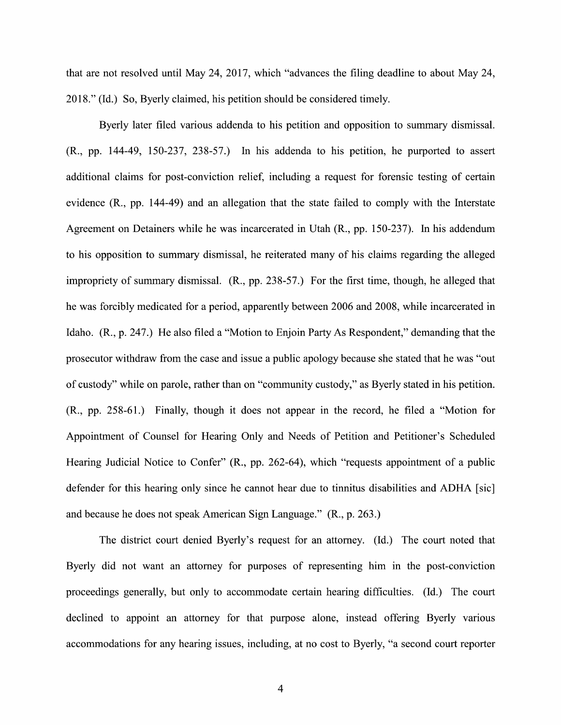that are not resolved until May 24, 2017, which "advances the filing deadline to about May 24, 2018." (Id.) So, Byerly claimed, his petition should be considered timely.

Byerly later filed various addenda to his petition and opposition to summary dismissal.  $(R., pp. 144-49, 150-237, 238-57.)$  In his addenda to his petition, he purported to assert additional claims for post-conviction relief, including a request for forensic testing of certain evidence (R., pp. 144-49) and an allegation that the state failed to comply With the Interstate Agreement on Detainers while he was incarcerated in Utah (R., pp. 150-237). In his addendum to his opposition to summary dismissal, he reiterated many 0f his claims regarding the alleged impropriety 0f summary dismissal. (R., pp. 238-57.) For the first time, though, he alleged that he was forcibly medicated for a period, apparently between 2006 and 2008, while incarcerated in Idaho. (R., p. 247.) He also filed a "Motion to Enjoin Party As Respondent," demanding that the prosecutor withdraw from the case and issue a public apology because she stated that he was "out of custody" While on parole, rather than on "community custody," as Byerly stated in his petition. (R., pp. 258-61.) Finally, though it does not appear in the record, he filed a "Motion for Appointment of Counsel for Hearing Only and Needs of Petition and Petitioner's Scheduled Hearing Judicial Notice to Confer"  $(R_1, pp. 262-64)$ , which "requests appointment of a public defender for this hearing only since he cannot hear due t0 tinnitus disabilities and ADHA [sic] and because he does not speak American Sign Language." (R., p. 263.)

The district court denied Byerly's request for an attorney. (Id.) The court noted that Byerly did not want an attorney for purposes of representing him in the post-conviction proceedings generally, but only to accommodate certain hearing difficulties. (Id.) The court declined to appoint an attorney for that purpose alone, instead offering Byerly various accommodations for any hearing issues, including, at no cost to Byerly, "a second court reporter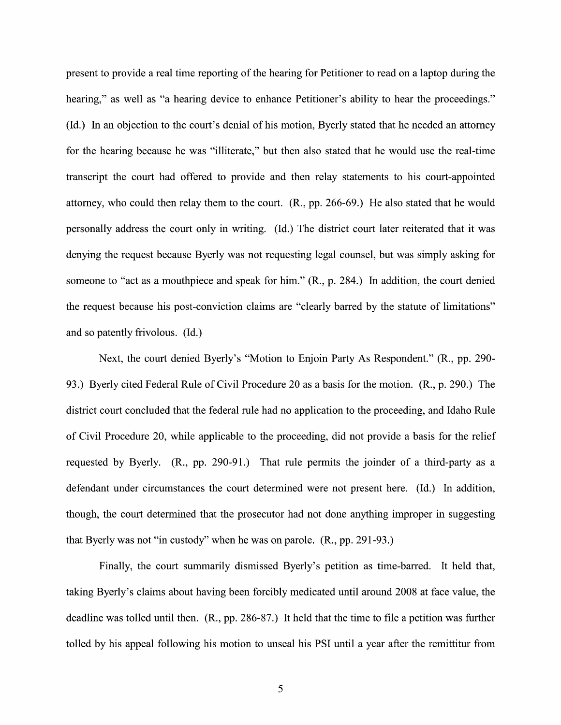present to provide a real time reporting of the hearing for Petitioner to read on a laptop during the hearing," as well as "a hearing device to enhance Petitioner's ability to hear the proceedings." (Id.) In an objection t0 the court's denial of his motion, Byerly stated that he needed an attorney for the hearing because he was "illiterate," but then also stated that he would use the real-time transcript the court had offered to provide and then relay statements to his court-appointed attorney, who could then relay them to the court.  $(R., pp. 266-69.)$  He also stated that he would personally address the court only in writing. (Id.) The district court later reiterated that it was denying the request because Byerly was not requesting legal counsel, but was simply asking for someone to "act as a mouthpiece and speak for him." (R., p. 284.) In addition, the court denied the request because his post-conviction claims are "clearly barred by the statute of limitations" and so patently frivolous. (Id.)

Next, the court denied Byerly's "Motion to Enjoin Party As Respondent." (R., pp. 290- 93.) Byerly cited Federal Rule of Civil Procedure 20 as basis for the motion. (R., p. 290.) The district court concluded that the federal rule had no application to the proceeding, and Idaho Rule of Civil Procedure 20, while applicable to the proceeding, did not provide a basis for the relief requested by Byerly.  $(R_1, pp. 290-91.)$  That rule permits the joinder of a third-party as a defendant under circumstances the court determined were not present here. (Id.) In addition, though, the court determined that the prosecutor had not done anything improper in suggesting that Byerly was not "in custody" When he was 0n parole. (R., pp. 291-93.)

Finally, the court summarily dismissed Byerly's petition as time-barred. It held that, taking Byerly's claims about having been forcibly medicated until around 2008 at face value, the deadline was tolled until then.  $(R., pp. 286-87.)$  It held that the time to file a petition was further tolled by his appeal following his motion to unseal his PSI until a year after the remittitur from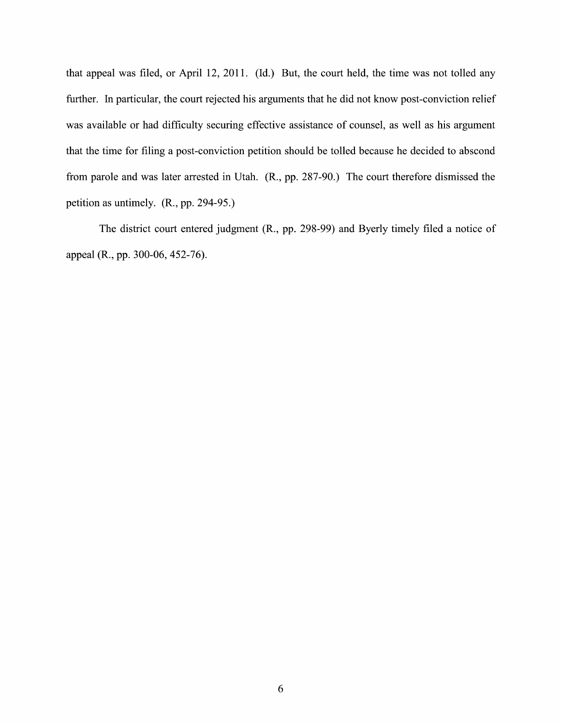that appeal was filed, or April 12, 2011. (Id.) But, the court held, the time was not tolled any further. In particular, the court rejected his arguments that he did not know post-conviction relief was available or had difficulty securing effective assistance of counsel, as well as his argument that the time for filing a post-conviction petition should be tolled because he decided to abscond from parole and was later arrested in Utah. (R., pp. 287-90.) The court therefore dismissed the petition as untimely. (R., pp. 294-95.)

The district court entered judgment (R., pp. 298-99) and Byerly timely filed a notice of appeal (R., pp. 300-06, 452-76).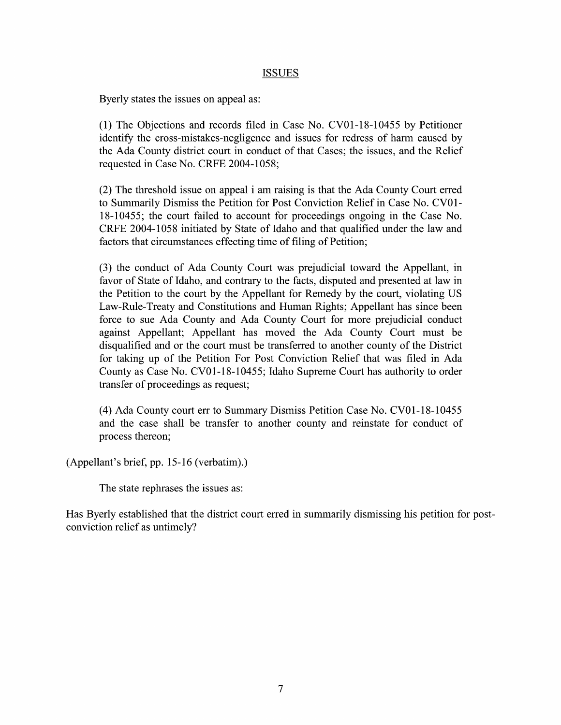## ISSUES

Byerly states the issues on appeal as:

(1) The Objections and records filed in Case No. CV01-18-10455 by Petitioner identify the cross—mistakes—negligence and issues for redress of harm caused by the Ada County district court in conduct of that Cases; the issues, and the Relief requested in Case N0. CRFE 2004-1058;

 $(2)$  The threshold issue on appeal i am raising is that the Ada County Court erred to Summarily Dismiss the Petition for Post Conviction Relief in Case No. CV01-18-10455; the court failed to account for proceedings ongoing in the Case N0. to Summarily Dismiss the Petition for Post Conviction Relief in Case No. CV01-<br>18-10455; the court failed to account for proceedings ongoing in the Case No.<br>CRFE 2004-1058 initiated by State of Idaho and that qualified und factors that circumstances effecting time of filing of Petition;

(3) the conduct 0f Ada County Court was prejudicial toward the Appellant, in favor of State of Idaho, and contrary to the facts, disputed and presented at law in the Petition to the court by the Appellant for Remedy by the court, violating US LaW-Rule-Treaty and Constitutions and Human Rights; Appellant has since been force to sue Ada County and Ada County Court for more prejudicial conduct against Appellant; Appellant has moved the Ada County Court must be disqualified and or the court must be transferred to another county of the District for taking up 0f the Petition For Post Conviction Relief that was filed in Ada County as Case No. CV01-18-10455; Idaho Supreme Court has authority to order transfer of proceedings as request;

(4) Ada County court err t0 Summary Dismiss Petition Case No. CV01-18-10455 and the case shall be transfer to another county and reinstate for conduct of process thereon;

(Appellant's brief, pp. 15-16 (verbatim).)

The state rephrases the issues as:

Has Byerly established that the district court erred in summarily dismissing his petition for post conviction relief as untimely?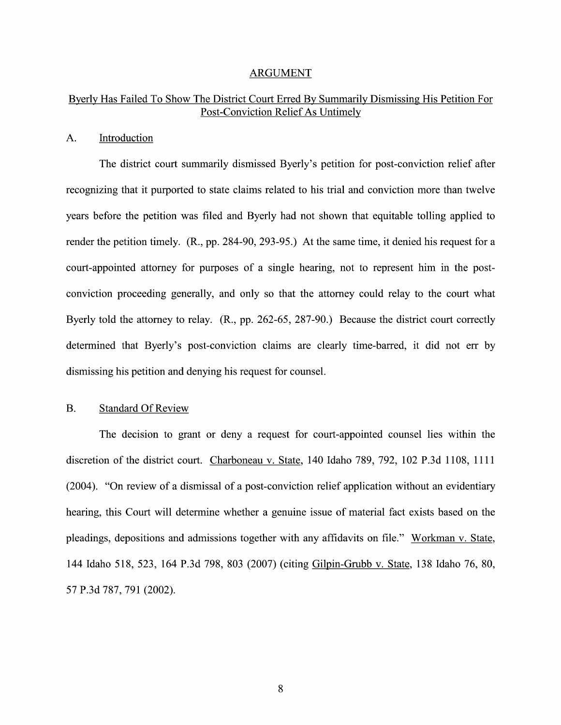#### ARGUMENT

## Bverlv Has Failed T0 Show The District Court Erred BV Summarilv Dismissing His Petition For Post-Conviction Relief As Untimely

### A. Introduction

The district court summarily dismissed Byerly's petition for post-conviction relief after recognizing that it purported to state claims related to his trial and conviction more than twelve years before the petition was filed and Byerly had not shown that equitable tolling applied to render the petition timely. (R., pp. 284-90, 293-95.) At the same time, it denied his request for a court-appointed attorney for purposes of a single hearing, not to represent him in the postconviction proceeding generally, and only so that the attorney could relay to the court what Byerly told the attorney to relay. (R., pp. 262-65, 287-90.) Because the district court correctly determined that Byerly's post-conviction claims are clearly time-barred, it did not err by dismissing his petition and denying his request for counsel.

## B. Standard Of Review

The decision to grant or deny a request for court-appointed counsel lies within the discretion 0f the district court. Charboneau V. State, 140 Idaho 789, 792, 102 P.3d 1108, 1111  $(2004)$ . "On review of a dismissal of a post-conviction relief application without an evidentiary hearing, this Court will determine whether a genuine issue of material fact exists based on the pleadings, depositions and admissions together with any affidavits on file." Workman v. State, 144 Idaho 518, 523, 164 P.3d 798, 803 (2007) (citing Gilpin-Grubb V. State, 138 Idaho 76, 80, 57 P.3d 787, 791 (2002).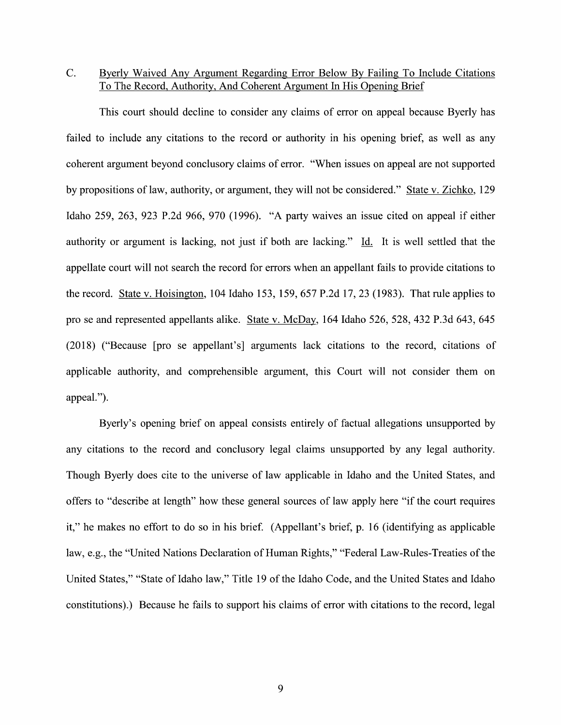## C. Byerly Waived Any Argument Regarding Error Below By Failing To Include Citations T0 The Record, Authority, And Coherent Argument In His Opening Brief

This court should decline to consider any claims 0f error 0n appeal because Byerly has failed to include any citations to the record or authority in his opening brief, as well as any coherent argument beyond conclusory claims of error. "When issues 0n appeal are not supported by propositions of law, authority, or argument, they will not be considered." State v. Zichko, 129 Idaho 259, 263, <sup>923</sup> P.2d 966, <sup>970</sup> (1996). "A party waives an issue cited on appeal if either authority or argument is lacking, not just if both are lacking." Id. It is well settled that the appellate court Will not search the record for errors When an appellant fails to provide citations to the record. State V. Hoisington, <sup>104</sup> Idaho 153, 159, <sup>657</sup> P.2d 17, <sup>23</sup> (1983). That rule applies to pro se and represented appellants alike. State V. McDay, 164 Idaho 526, 528, 432 P.3d 643, 645 (2018) ("Because [pro se appellant's] arguments lack citations t0 the record, citations of applicable authority, and comprehensible argument, this Court will not consider them on appeal.").

Byerly's opening brief on appeal consists entirely of factual allegations unsupported by any citations to the record and conclusory legal claims unsupported by any legal authority. Though Byerly does cite to the universe of law applicable in Idaho and the United States, and offers t0 "describe at length" how these general sources of law apply here "if the court requires it," he makes no effort to do so in his brief. (Appellant's brief, p. 16 (identifying as applicable law, e.g., the "United Nations Declaration of Human Rights," "Federal Law-Rules—Treaties of the United States," "State 0f Idaho law," Title 19 0f the Idaho Code, and the United States and Idaho constitutions).) Because he fails to support his claims 0f error with citations to the record, legal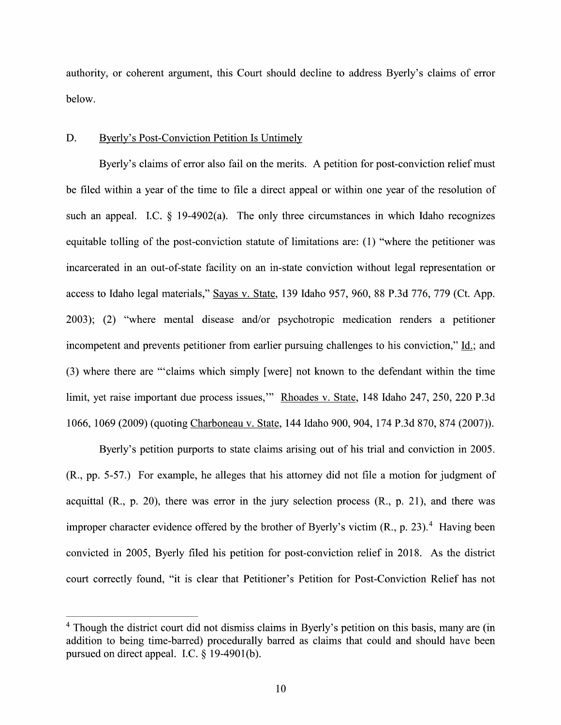authority, or coherent argument, this Court should decline t0 address Byerly's claims of error below.

#### D. Byerly's Post-Conviction Petition Is Untimely

Byerly's claims of error also fail on the merits. A petition for post-conviction relief must be filed within a year of the time to file a direct appeal or within one year of the resolution of such an appeal. I.C.  $\S$  19-4902(a). The only three circumstances in which Idaho recognizes equitable tolling of the post-conviction statute of limitations are: (1) "where the petitioner was incarcerated in an out-of-state facility on an in-state conviction without legal representation or access to Idaho legal materials," Sayas v. State, 139 Idaho 957, 960, 88 P.3d 776, 779 (Ct. App.  $2003$ ); (2) "where mental disease and/or psychotropic medication renders a petitioner incompetent and prevents petitioner from earlier pursuing challenges to his conviction," Id.; and  $(3)$  where there are "claims which simply [were] not known to the defendant within the time limit, yet raise important due process issues," Rhoades v. State, 148 Idaho 247, 250, 220 P.3d 1066, 1069 (2009) (quoting Charboneau V. State, 144 Idaho 900, 904, 174 P.3d 870, 874 (2007)).

Byerly's petition purports to state claims arising out 0f his trial and conviction in 2005.  $(R., pp. 5-57.)$  For example, he alleges that his attorney did not file a motion for judgment of acquittal  $(R_1, p_1, 20)$ , there was error in the jury selection process  $(R_1, p_1, 21)$ , and there was improper character evidence offered by the brother of Byerly's victim  $(R_1, p_1, 23)$ .<sup>4</sup> Having been convicted in 2005, Byerly filed his petition for post-conviction relief in 2018. As the district court correctly found, "it is clear that Petitioner's Petition for Post-Conviction Relief has not

<sup>&</sup>lt;sup>4</sup> Though the district court did not dismiss claims in Byerly's petition on this basis, many are (in addition to being time-barred) procedurally barred as claims that could and should have been pursued on direct appeal. I.C.  $\S$  19-4901(b).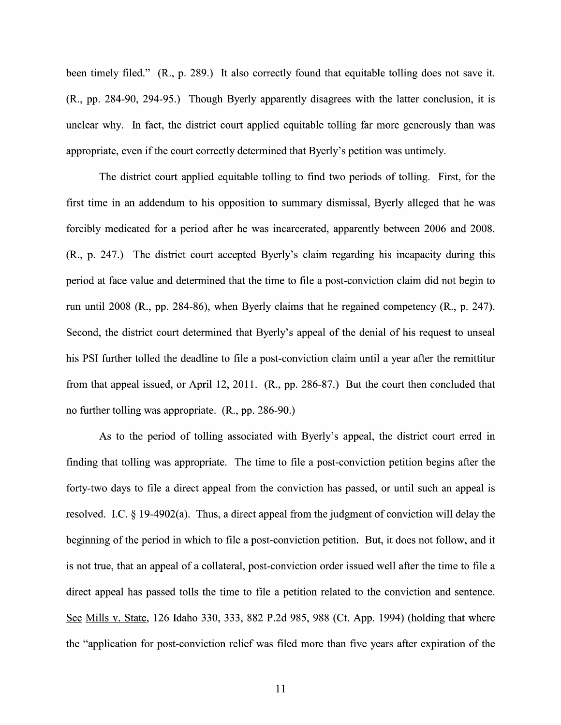been timely filed." (R., p. 289.) It also correctly found that equitable tolling does not save it. (R., pp. 284-90, 294-95.) Though Byerly apparently disagrees with the latter conclusion, it is unclear Why. In fact, the district court applied equitable tolling far more generously than was appropriate, even if the court correctly determined that Byerly's petition was untimely.

The district court applied equitable tolling t0 find two periods of tolling. First, for the first time in an addendum to his opposition to summary dismissal, Byerly alleged that he was forcibly medicated for a period after he was incarcerated, apparently between 2006 and 2008. (R., p. 247.) The district court accepted Byerly's claim regarding his incapacity during this period at face value and determined that the time to file a post-conviction claim did not begin to run until 2008 (R., pp. 284-86), When Byerly claims that he regained competency (R., p. 247). Second, the district court determined that Byerly's appeal of the denial of his request to unseal his PSI further tolled the deadline to file a post-conviction claim until a year after the remittitur from that appeal issued, or April 12, 2011. (R., pp. 286-87.) But the court then concluded that no further tolling was appropriate. (R., pp. 286-90.)

As to the period 0f tolling associated with Byerly's appeal, the district court erred in finding that tolling was appropriate. The time to file a post-conviction petition begins after the forty-two days to file a direct appeal from the conviction has passed, or until such an appeal is resolved. I.C.  $\S$  19-4902(a). Thus, a direct appeal from the judgment of conviction will delay the beginning of the period in which to file a post-conviction petition. But, it does not follow, and it is not true, that an appeal of a collateral, post-conviction order issued well after the time to file a direct appeal has passed tolls the time to file a petition related to the conviction and sentence. See Mills v. State, 126 Idaho 330, 333, 882 P.2d 985, 988 (Ct. App. 1994) (holding that where the "application for post-conviction relief was filed more than five years after expiration of the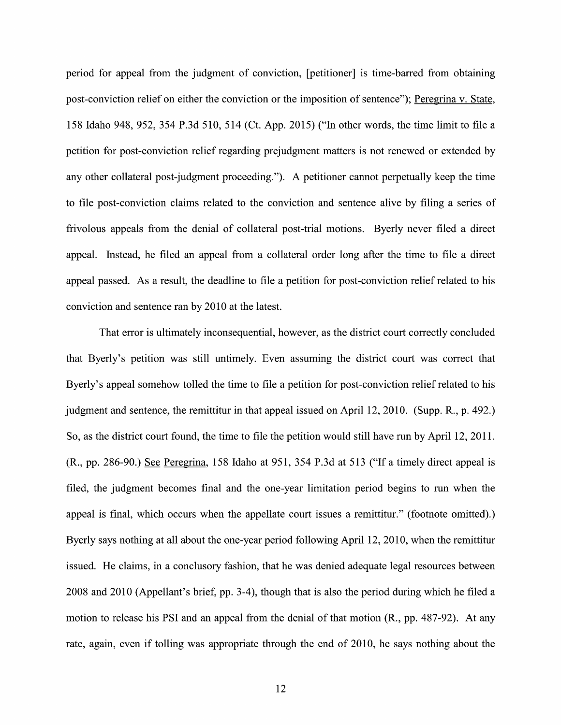period for appeal from the judgment 0f conviction, [petitioner] is time-barred from obtaining post-conviction relief on either the conviction or the imposition 0f sentence"); Peregrina V. State, 158 Idaho 948, 952, 354 P.3d 510, 514 (Ct. App. 2015) ("In other words, the time limit t0 file petition for post-conviction relief regarding prejudgment matters is not renewed or extended by any other collateral post-judgment proceeding."). A petitioner cannot perpetually keep the time to file post-conviction claims related to the conviction and sentence alive by filing a series of frivolous appeals from the denial of collateral post-trial motions. Byerly never filed a direct<br>appeal. Instead, he filed an appeal from a collateral order long after the time to file a direct appeal passed. As a result, the deadline to file a petition for post-conviction relief related to his conviction and sentence ran by 2010 at the latest.

That error is ultimately inconsequential, however, as the district court correctly concluded that Byerly's petition was still untimely. Even assuming the district court was correct that Byerly's appeal somehow tolled the time to file a petition for post-conviction relief related to his judgment and sentence, the remittitur in that appeal issued 0n April 12, 2010. (Supp. R., p. 492.) So, as the district court found, the time to file the petition would still have run by April 12, 2011.  $(R., pp. 286-90.)$  See Peregrina, 158 Idaho at 951, 354 P.3d at 513 ("If a timely direct appeal is filed, the judgment becomes final and the one-year limitation period begins to run when the appeal is final, which occurs when the appellate court issues a remittitur." (footnote omitted).) Byerly says nothing at all about the one-year period following April 12, 2010, When the remittitur issued. He claims, in conclusory fashion, that he was denied adequate legal resources between <sup>2008</sup> and <sup>2010</sup> (Appellant's brief, pp. 3-4), though that is also the period during which he filed motion to release his PSI and an appeal from the denial of that motion (R., pp. 487-92). At any rate, again, even if tolling was appropriate through the end 0f 2010, he says nothing about the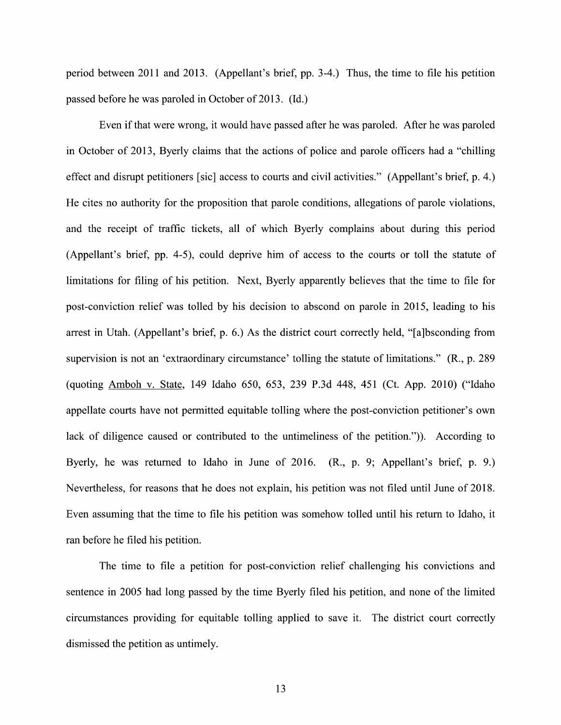period between 2011 and 2013. (Appellant's brief, pp. 3-4.) Thus, the time to file his petition passed before he was paroled in October of 2013. (Id.)

Even if that were wrong, itwould have passed after he was paroled. After he was paroled in October of 2013, Byerly claims that the actions of police and parole officers had a "chilling effect and disrupt petitioners [sic] access to courts and civil activities." (Appellant's brief, p. 4.) He cites no authority for the proposition that parole conditions, allegations of parole violations, and the receipt of traffic tickets, all 0f Which Byerly complains about during this period (Appellant's brief, pp. 4-5), could deprive him of access to the courts or toll the statute of limitations for filing of his petition. Next, Byerly apparently believes that the time to file for post-conviction relief was tolled by his decision to abscond on parole in 2015, leading to his arrest in Utah. (Appellant's brief, p. 6.) As the district court correctly held, "[a]bsconding from supervision is not an 'extraordinary circumstance' tolling the statute of limitations." (R., p. 289 (quoting Amboh V.State, <sup>149</sup> Idaho 650, 653, <sup>239</sup> P.3d 448, <sup>451</sup> (Ct. App. 2010) ("Idaho appellate courts have not permitted equitable tolling where the post-conviction petitioner's own lack of diligence caused or contributed to the untimeliness of the petition."). According to Byerly, he was returned to Idaho in June of 2016. (R., p. 9; Appellant's brief, p. 9.) Nevertheless, for reasons that he does not explain, his petition was not filed until June 0f 2018. Even assuming that the time to file his petition was somehow tolled until his return to Idaho, it ran before he filed his petition.

The time to file a petition for post-conviction relief challenging his convictions and sentence in 2005 had long passed by the time Byerly filed his petition, and none of the limited circumstances providing for equitable tolling applied to save it. The district court correctly dismissed the petition as untimely.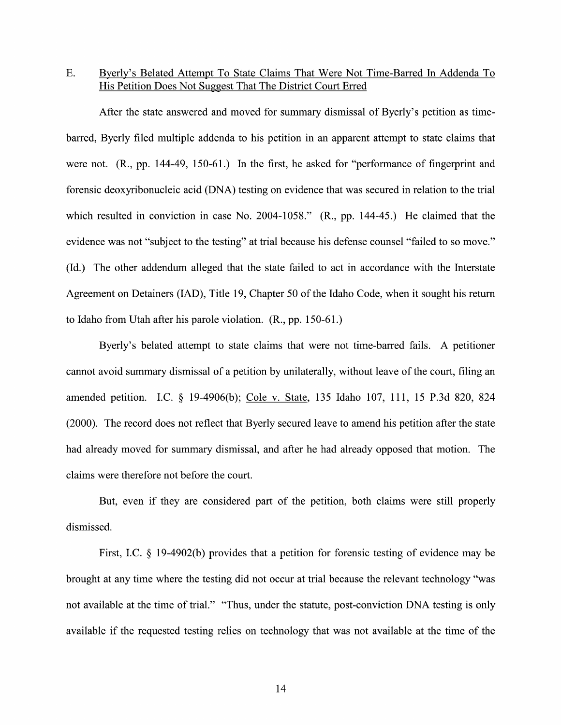## E. Byerly's Belated Attempt To State Claims That Were Not Time-Barred In Addenda To His Petition Does Not Suggest That The District Court Erred

After the state answered and moved for summary dismissal of Byerly's petition as timebarred, Byerly filed multiple addenda to his petition in an apparent attempt to state claims that were not. (R., pp. 144-49, 150-61.) In the first, he asked for "performance of fingerprint and forensic deoxyribonucleic acid (DNA) testing 0n evidence that was secured in relation to the trial which resulted in conviction in case No. 2004-1058." (R., pp. 144-45.) He claimed that the evidence was not "subject to the testing" at trial because his defense counsel "failed to so move." (Id.) The other addendum alleged that the state failed to act in accordance with the Interstate Agreement on Detainers (IAD), Title 19, Chapter 50 0f the Idaho Code, when it sought his return to Idaho from Utah after his parole violation.  $(R., pp. 150-61.)$ 

Byerly's belated attempt to state claims that were not time-barred fails. A petitioner cannot avoid summary dismissal of a petition by unilaterally, without leave of the court, filing an amended petition. I.C. § 19-4906(b); Cole v. State, 135 Idaho 107, 111, 15 P.3d 820, 824 (2000). The record does not reflect that Byerly secured leave t0 amend his petition after the state had already moved for summary dismissal, and after he had already opposed that motion. The claims were therefore not before the court.

But, even if they are considered part of the petition, both claims were still properly dismissed.

First, I.C.  $\S$  19-4902(b) provides that a petition for forensic testing of evidence may be brought at any time Where the testing did not occur at trial because the relevant technology "was not available at the time of trial." "Thus, under the statute, post-conviction DNA testing is only available if the requested testing relies 0n technology that was not available at the time of the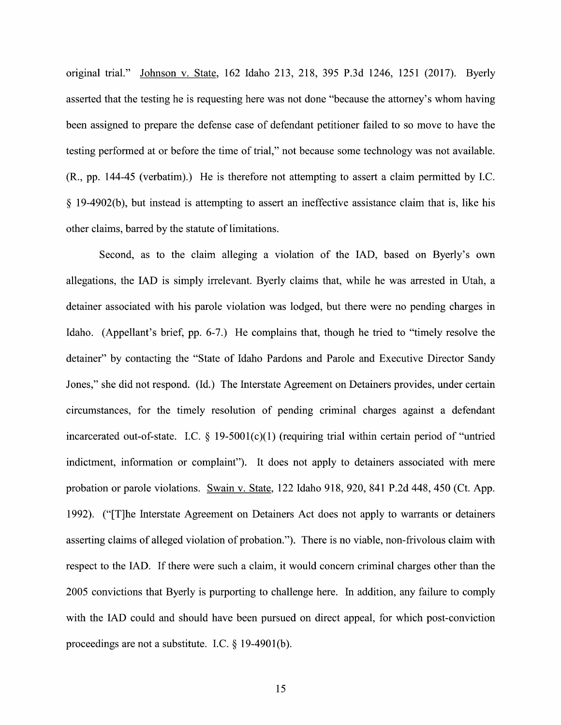original trial." Johnson V. State, 162 Idaho 213, 218, 395 P.3d 1246, 1251 (2017). Byerly asserted that the testing he is requesting here was not done "because the attorney's whom having been assigned to prepare the defense case of defendant petitioner failed to so move to have the testing performed at or before the time of trial," not because some technology was not available.  $(R., pp. 144-45$  (verbatim).) He is therefore not attempting to assert a claim permitted by I.C. 19-4902(b), but instead is attempting to assert an ineffective assistance claim that is, like his other claims, barred by the statute of limitations.

Second, as to the claim alleging a violation of the IAD, based on Byerly's own allegations, the IAD is simply irrelevant. Byerly claims that, while he was arrested in Utah, a detainer associated with his parole violation was lodged, but there were no pending charges in Idaho. (Appellant's brief, pp. 6-7.) He complains that, though he tried to "timely resolve the detainer" by contacting the "State of Idaho Pardons and Parole and Executive Director Sandy Jones," she did not respond. (Id.) The Interstate Agreement 0n Detainers provides, under certain circumstances, for the timely resolution of pending criminal charges against a defendant incarcerated out-of-state. I.C.  $\S$  19-5001(c)(1) (requiring trial within certain period of "untried indictment, information or complaint"). It does not apply to detainers associated with mere probation or parole Violations. Swain V. State, <sup>122</sup> Idaho 918, 920, <sup>841</sup> P.2d 448, <sup>450</sup> (Ct. App. 1992). ("The Interstate Agreement on Detainers Act does not apply to warrants or detainers asserting claims of alleged violation of probation."). There is no viable, non-frivolous claim with respect to the IAD. If there were such a claim, it would concern criminal charges other than the 2005 convictions that Byerly is purporting to challenge here. In addition, any failure to comply with the IAD could and should have been pursued on direct appeal, for which post-conviction proceedings are not a substitute. I.C.  $\S$  19-4901(b).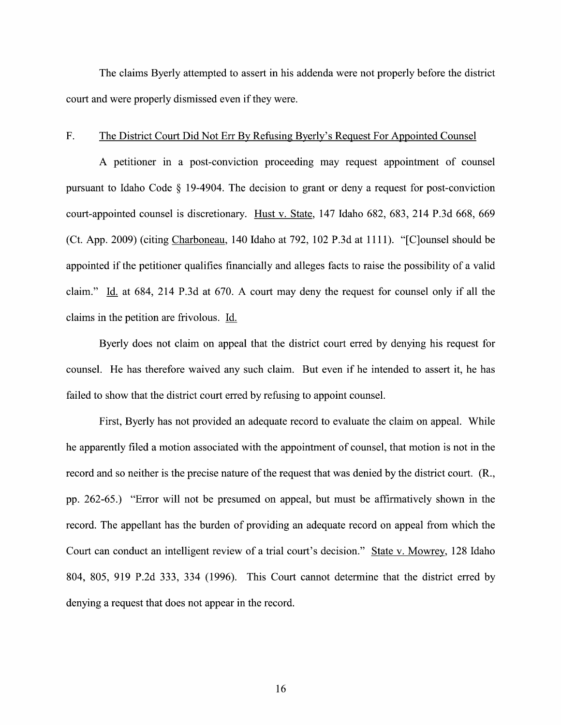The claims Byerly attempted to assert in his addenda were not properly before the district court and were properly dismissed even if they were.

#### F. The District Court Did Not Err By Refusing Byerly's Request For Appointed Counsel

A petitioner in a post-conviction proceeding may request appointment of counsel pursuant to Idaho Code  $\S$  19-4904. The decision to grant or deny a request for post-conviction court—appointed counsel is discretionary. Hust V. State, 147 Idaho 682, 683, 214 P.3d 668, 669 (Ct. App. 2009) (citing Charboneau, 140 Idaho at 792, 102 P.3d at 1111). "[C]ounsel should be appointed if the petitioner qualifies financially and alleges facts to raise the possibility of a valid claim." Id. at  $684$ ,  $214$  P.3d at  $670$ . A court may deny the request for counsel only if all the claims in the petition are frivolous. Id.

Byerly does not claim 0n appeal that the district court erred by denying his request for counsel. He has therefore waived any such claim. But even if he intended to assert it, he has failed to show that the district court erred by refusing to appoint counsel.

First, Byerly has not provided an adequate record to evaluate the claim on appeal. While he apparently filed motion associated with the appointment of counsel, that motion is not in the record and so neither is the precise nature of the request that was denied by the district court. (R., pp. 262-65.) "Error Will not be presumed on appeal, but must be affirmatively shown in the record. The appellant has the burden 0f providing an adequate record 0n appeal from which the Court can conduct an intelligent review of a trial court's decision." State v. Mowrey, 128 Idaho 804, 805, 919 P.2d 333, 334 (1996). This Court cannot determine that the district erred by denying a request that does not appear in the record.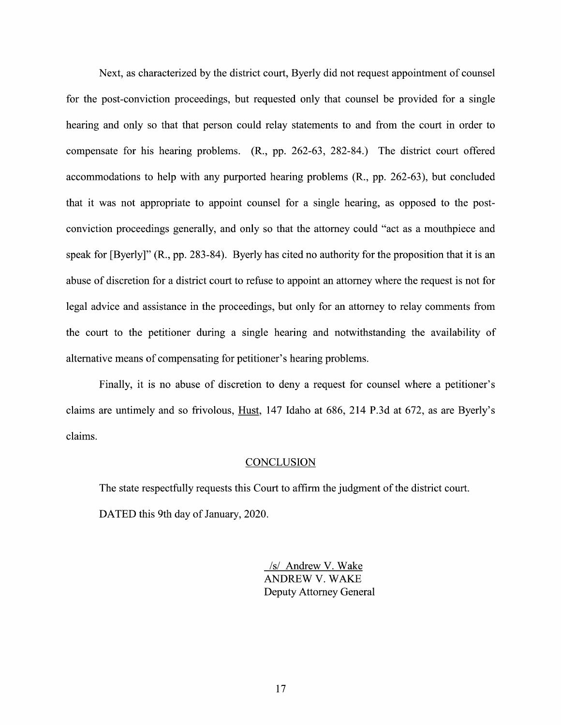Next, as characterized by the district court, Byerly did not request appointment of counsel for the post-conviction proceedings, but requested only that counsel be provided for a single hearing and only so that that person could relay statements to and from the court in order to compensate for his hearing problems. (R., pp. 262-63, 282-84.) The district court offered accommodations to help with any purported hearing problems (R., pp. 262-63), but concluded that it was not appropriate to appoint counsel for a single hearing, as opposed to the postconviction proceedings generally, and only so that the attorney could "act as mouthpiece and speak for [Byerly]" (R., pp. 283-84). Byerly has cited no authority for the proposition that it is an abuse of discretion for a district court to refuse to appoint an attorney where the request is not for legal advice and assistance in the proceedings, but only for an attorney to relay comments from the court to the petitioner during a single hearing and notwithstanding the availability of alternative means 0f compensating for petitioner's hearing problems.

Finally, it is no abuse of discretion to deny a request for counsel where a petitioner's claims are untimely and so frivolous,  $Hust$ , 147 Idaho at 686, 214 P.3d at 672, as are Byerly's claims.

#### **CONCLUSION**

The state respectfully requests this Court to affirm the judgment of the district court. DATED this 9th day 0f January, 2020.

> /s/ Andrew V. Wake ANDREW V. WAKE Deputy Attorney General